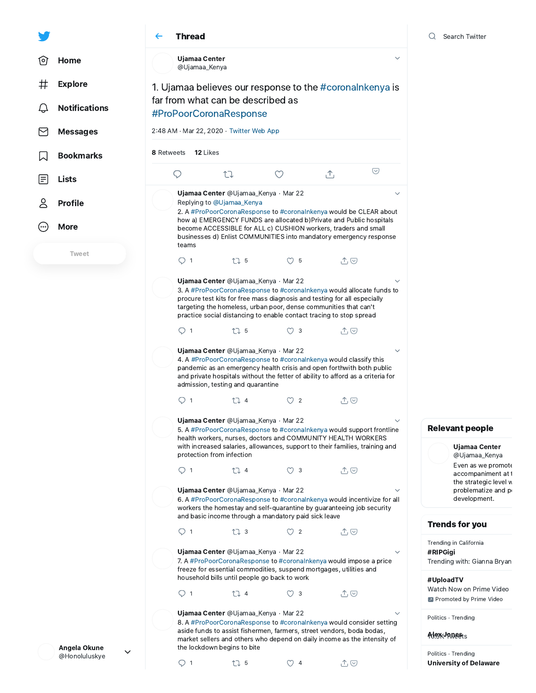## $Q$  Search Twitter



## Relevant people

Even as we promote accompaniment at t the strategic level w problematize and p development. Ujamaa Center [@Ujamaa\\_Kenya](https://twitter.com/Ujamaa_Kenya)

## Trends for you

Trending in California

#RIPGigi Trending with: Gianna Bryan

## #UploadTV

Watch Now on Prime Video **Promoted by Prime Video** 

Politics · Trending

Alex<sub>y</sub>Janests

University of Delaware Politics · Trending